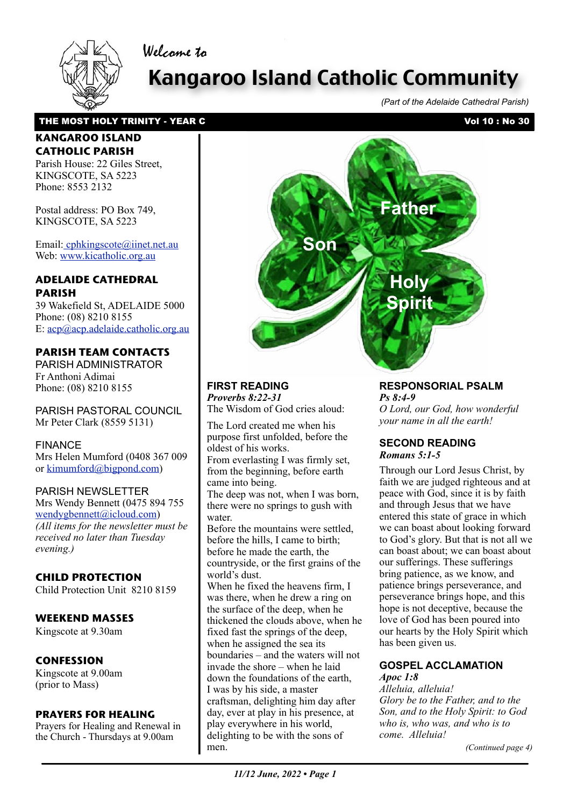

# Kangaroo Island Catholic Community

*(Part of the Adelaide Cathedral Parish)*

Welcome to

## **KANGAROO ISLAND CATHOLIC PARISH**

Parish House: 22 Giles Street KINGSCOTE, SA 5223 Phone: 8553 2132

Postal address: PO Box 749, KINGSCOTE, SA 5223

Email[: cphkingscote@iinet.net.au](mailto:cphkingscote@iinet.net.au) Web: [www.kicatholic.org.au](http://www.kicatholic.org.au)

# **ADELAIDE CATHEDRAL PARISH**

39 Wakefield St, ADELAIDE 5000 Phone: (08) 8210 8155 E: [acp@acp.adelaide.catholic.org.au](mailto:?subject=)

# **PARISH TEAM CONTACTS**

PARISH ADMINISTRATOR Fr Anthoni Adimai Phone: (08) 8210 8155

PARISH PASTORAL COUNCIL Mr Peter Clark (8559 5131)

#### FINANCE Mrs Helen Mumford (0408 367 009 or [kimumford@bigpond.com\)](mailto:kimumford@bigpond.com)

PARISH NEWSLETTER

Mrs Wendy Bennett (0475 894 755 [wendygbennett@icloud.com\)](mailto:wendygbennett@icloud.com) *(All items for the newsletter must be received no later than Tuesday evening.)*

# **CHILD PROTECTION**

Child Protection Unit 8210 8159

# **WEEKEND MASSES**

Kingscote at 9.30am

# **CONFESSION**

Kingscote at 9.00am (prior to Mass)

# **PRAYERS FOR HEALING**

Prayers for Healing and Renewal in the Church - Thursdays at 9.00am



#### **FIRST READING** *Proverbs 8:22-31*

The Wisdom of God cries aloud:

The Lord created me when his purpose first unfolded, before the oldest of his works. From everlasting I was firmly set, from the beginning, before earth came into being.

The deep was not, when I was born, there were no springs to gush with water.

Before the mountains were settled, before the hills, I came to birth; before he made the earth, the countryside, or the first grains of the world's dust.

When he fixed the heavens firm, I was there, when he drew a ring on the surface of the deep, when he [thickened the clouds above, when he](file://localhost/Users/gaelterrymaloney/Documents/aa%20Parish%20Newsletter/%20%20%20%20Current%20newsletter/11_12_March,%202017.pages)  fixed fast the springs of the deep, when he assigned the sea its boundaries – and the waters will not invade the shore – when he laid down the foundations of the earth, I was by his side, a master craftsman, delighting him day after day, ever at play in his presence, at play everywhere in his world, delighting to be with the sons of [men.](file://localhost/Users/gaelterrymaloney/Documents/aa%20Parish%20Newsletter/%20%20%20%20Current%20newsletter/11_12_March,%202017.pages) *(Continued page 4)*

#### **RESPONSORIAL PSALM** *Ps 8:4-9*

*O Lord, our God, how wonderful your name in all the earth!*

## **SECOND READING** *Romans 5:1-5*

Through our Lord Jesus Christ, by faith we are judged righteous and at peace with God, since it is by faith and through Jesus that we have entered this state of grace in which we can boast about looking forward to God's glory. But that is not all we can boast about; we can boast about our sufferings. These sufferings bring patience, as we know, and patience brings perseverance, and perseverance brings hope, and this hope is not deceptive, because the love of God has been poured into our hearts by the Holy Spirit which has been given us.

## **GOSPEL ACCLAMATION** *Apoc 1:8*

*Alleluia, alleluia! Glory be to the Father, and to the Son, and to the Holy Spirit: to God who is, who was, and who is to come. Alleluia!*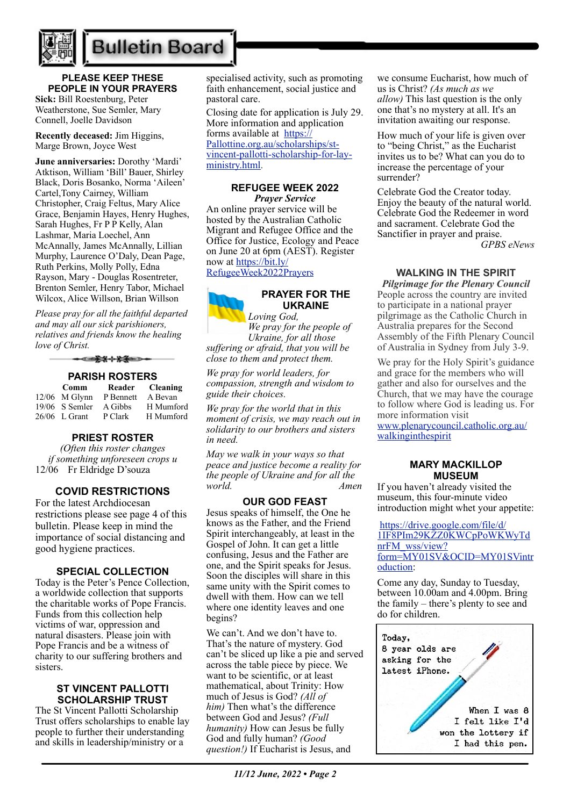

# **Bulletin Board**

## **PLEASE KEEP THESE PEOPLE IN YOUR PRAYERS**

**Sick:** Bill Roestenburg, Peter Weatherstone, Sue Semler, Mary Connell, Joelle Davidson

**Recently deceased:** Jim Higgins, Marge Brown, Joyce West

**June anniversaries:** Dorothy 'Mardi' Atktison, William 'Bill' Bauer, Shirley Black, Doris Bosanko, Norma 'Aileen' Cartel,Tony Cairney, William Christopher, Craig Feltus, Mary Alice Grace, Benjamin Hayes, Henry Hughes, Sarah Hughes, Fr P P Kelly, Alan Lashmar, Maria Loechel, Ann McAnnally, James McAnnally, Lillian Murphy, Laurence O'Daly, Dean Page, Ruth Perkins, Molly Polly, Edna Rayson, Mary - Douglas Rosentreter, Brenton Semler, Henry Tabor, Michael Wilcox, Alice Willson, Brian Willson

*Please pray for all the faithful departed and may all our sick parishioners, relatives and friends know the healing love of Christ.*

▅<del>▓</del>▓⊹<del>▓</del>

#### **PARISH ROSTERS**

| <b>Comm</b>      | Reader    | <b>Cleaning</b> |
|------------------|-----------|-----------------|
| $12/06$ M Glynn  | P Bennett | A Bevan         |
| $19/06$ S Semler | A Gibbs   | H Mumford       |
| $26/06$ L Grant  | P Clark   | H Mumford       |

#### **PRIEST ROSTER**

*(Often this roster changes if something unforeseen crops u* 12/06 Fr Eldridge D'souza

## **COVID RESTRICTIONS**

For the latest Archdiocesan restrictions please see page 4 of this bulletin. Please keep in mind the importance of social distancing and good hygiene practices.

#### **SPECIAL COLLECTION**

Today is the Peter's Pence Collection, a worldwide collection that supports the charitable works of Pope Francis. Funds from this collection help victims of war, oppression and natural disasters. Please join with Pope Francis and be a witness of charity to our suffering brothers and sisters.

#### **ST VINCENT PALLOTTI SCHOLARSHIP TRUST**

The St Vincent Pallotti Scholarship Trust offers scholarships to enable lay people to further their understanding and skills in leadership/ministry or a

specialised activity, such as promoting faith enhancement, social justice and pastoral care.

Closing date for application is July 29. More information and application forms available at [https://](https://Pallottine.org.au/scholarships/st-vincent-pallotti-scholarship-for-lay-ministry.html) [Pallottine.org.au/scholarships/st](https://Pallottine.org.au/scholarships/st-vincent-pallotti-scholarship-for-lay-ministry.html)[vincent-pallotti-scholarship-for-lay](https://Pallottine.org.au/scholarships/st-vincent-pallotti-scholarship-for-lay-ministry.html)[ministry.html](https://Pallottine.org.au/scholarships/st-vincent-pallotti-scholarship-for-lay-ministry.html).

#### **REFUGEE WEEK 2022** *Prayer Service*

An online prayer service will be hosted by the Australian Catholic Migrant and Refugee Office and the Office for Justice, Ecology and Peace on June 20 at 6pm (AEST). Register now at [https://bit.ly/](https://bit.ly/RefugeeWeek2022Prayers) [RefugeeWeek2022Prayers](https://bit.ly/RefugeeWeek2022Prayers)



#### **PRAYER FOR THE UKRAINE** *Loving God,*

*We pray for the people of Ukraine, for all those suffering or afraid, that you will be close to them and protect them.*

*We pray for world leaders, for compassion, strength and wisdom to guide their choices.*

*We pray for the world that in this moment of crisis, we may reach out in solidarity to our brothers and sisters in need.*

*May we walk in your ways so that peace and justice become a reality for the people of Ukraine and for all the world. Amen*

#### **OUR GOD FEAST**

Jesus speaks of himself, the One he knows as the Father, and the Friend Spirit interchangeably, at least in the Gospel of John. It can get a little confusing, Jesus and the Father are one, and the Spirit speaks for Jesus. Soon the disciples will share in this same unity with the Spirit comes to dwell with them. How can we tell where one identity leaves and one begins?

We can't. And we don't have to. That's the nature of mystery. God can't be sliced up like a pie and served across the table piece by piece. We want to be scientific, or at least mathematical, about Trinity: How much of Jesus is God? *(All of him)* Then what's the difference between God and Jesus? *(Full humanity)* How can Jesus be fully God and fully human? *(Good question!)* If Eucharist is Jesus, and

we consume Eucharist, how much of us is Christ? *(As much as we allow)* This last question is the only one that's no mystery at all. It's an invitation awaiting our response.

How much of your life is given over to "being Christ," as the Eucharist invites us to be? What can you do to increase the percentage of your surrender?

Celebrate God the Creator today. Enjoy the beauty of the natural world. Celebrate God the Redeemer in word and sacrament. Celebrate God the Sanctifier in prayer and praise. *GPBS eNews*

#### **WALKING IN THE SPIRIT**

*Pilgrimage for the Plenary Council*  People across the country are invited to participate in a national prayer pilgrimage as the Catholic Church in Australia prepares for the Second Assembly of the Fifth Plenary Council of Australia in Sydney from July 3-9.

We pray for the Holy Spirit's guidance and grace for the members who will gather and also for ourselves and the Church, that we may have the courage to follow where God is leading us. For more information visit

[www.plenarycouncil.catholic.org.au/](http://www.plenarycouncil.catholic.org.au/walkinginthespirit) [walkinginthespirit](http://www.plenarycouncil.catholic.org.au/walkinginthespirit)

#### **MARY MACKILLOP MUSEUM**

If you haven't already visited the museum, this four-minute video introduction might whet your appetite:

[https://drive.google.com/file/d/](https://aus01.safelinks.protection.outlook.com/?url=https%3A%2F%2Fdrive.google.com%2Ffile%2Fd%2F1IF8PIm29KZZ0KWCpPoWKWyTdnrFM_wss%2Fview%3Fform%3DMY01SV%26OCID%3DMY01SVintroduction&data=05%7C01%7Cjbradshaw%40adelaide.catholic.org.au%7Cf078fd8ecd7747dd2eb308da3ea3c285%7Cfe51d108d61d407cbcaaaab5af82a7ac%7C1%7C0%7C637891170360908199%7CUnknown%7CTWFpbGZsb3d8eyJWIjoiMC4wLjAwMDAiLCJQIjoiV2luMzIiLCJBTiI6Ik1haWwiLCJXVCI6Mn0%3D%7C3000%7C%7C%7C&sdata=bKqtTdmdPLk%2FMJoMklz1AP3dI44ab8gkMziXbW08niA%3D&reserved=0) [1IF8PIm29KZZ0KWCpPoWKWyTd](https://aus01.safelinks.protection.outlook.com/?url=https%3A%2F%2Fdrive.google.com%2Ffile%2Fd%2F1IF8PIm29KZZ0KWCpPoWKWyTdnrFM_wss%2Fview%3Fform%3DMY01SV%26OCID%3DMY01SVintroduction&data=05%7C01%7Cjbradshaw%40adelaide.catholic.org.au%7Cf078fd8ecd7747dd2eb308da3ea3c285%7Cfe51d108d61d407cbcaaaab5af82a7ac%7C1%7C0%7C637891170360908199%7CUnknown%7CTWFpbGZsb3d8eyJWIjoiMC4wLjAwMDAiLCJQIjoiV2luMzIiLCJBTiI6Ik1haWwiLCJXVCI6Mn0%3D%7C3000%7C%7C%7C&sdata=bKqtTdmdPLk%2FMJoMklz1AP3dI44ab8gkMziXbW08niA%3D&reserved=0) [nrFM\\_wss/view?](https://aus01.safelinks.protection.outlook.com/?url=https%3A%2F%2Fdrive.google.com%2Ffile%2Fd%2F1IF8PIm29KZZ0KWCpPoWKWyTdnrFM_wss%2Fview%3Fform%3DMY01SV%26OCID%3DMY01SVintroduction&data=05%7C01%7Cjbradshaw%40adelaide.catholic.org.au%7Cf078fd8ecd7747dd2eb308da3ea3c285%7Cfe51d108d61d407cbcaaaab5af82a7ac%7C1%7C0%7C637891170360908199%7CUnknown%7CTWFpbGZsb3d8eyJWIjoiMC4wLjAwMDAiLCJQIjoiV2luMzIiLCJBTiI6Ik1haWwiLCJXVCI6Mn0%3D%7C3000%7C%7C%7C&sdata=bKqtTdmdPLk%2FMJoMklz1AP3dI44ab8gkMziXbW08niA%3D&reserved=0) [form=MY01SV&OCID=MY01SVintr](https://aus01.safelinks.protection.outlook.com/?url=https%3A%2F%2Fdrive.google.com%2Ffile%2Fd%2F1IF8PIm29KZZ0KWCpPoWKWyTdnrFM_wss%2Fview%3Fform%3DMY01SV%26OCID%3DMY01SVintroduction&data=05%7C01%7Cjbradshaw%40adelaide.catholic.org.au%7Cf078fd8ecd7747dd2eb308da3ea3c285%7Cfe51d108d61d407cbcaaaab5af82a7ac%7C1%7C0%7C637891170360908199%7CUnknown%7CTWFpbGZsb3d8eyJWIjoiMC4wLjAwMDAiLCJQIjoiV2luMzIiLCJBTiI6Ik1haWwiLCJXVCI6Mn0%3D%7C3000%7C%7C%7C&sdata=bKqtTdmdPLk%2FMJoMklz1AP3dI44ab8gkMziXbW08niA%3D&reserved=0) [oduction:](https://aus01.safelinks.protection.outlook.com/?url=https%3A%2F%2Fdrive.google.com%2Ffile%2Fd%2F1IF8PIm29KZZ0KWCpPoWKWyTdnrFM_wss%2Fview%3Fform%3DMY01SV%26OCID%3DMY01SVintroduction&data=05%7C01%7Cjbradshaw%40adelaide.catholic.org.au%7Cf078fd8ecd7747dd2eb308da3ea3c285%7Cfe51d108d61d407cbcaaaab5af82a7ac%7C1%7C0%7C637891170360908199%7CUnknown%7CTWFpbGZsb3d8eyJWIjoiMC4wLjAwMDAiLCJQIjoiV2luMzIiLCJBTiI6Ik1haWwiLCJXVCI6Mn0%3D%7C3000%7C%7C%7C&sdata=bKqtTdmdPLk%2FMJoMklz1AP3dI44ab8gkMziXbW08niA%3D&reserved=0)

Come any day, Sunday to Tuesday, between 10.00am and 4.00pm. Bring the family – there's plenty to see and do for children.

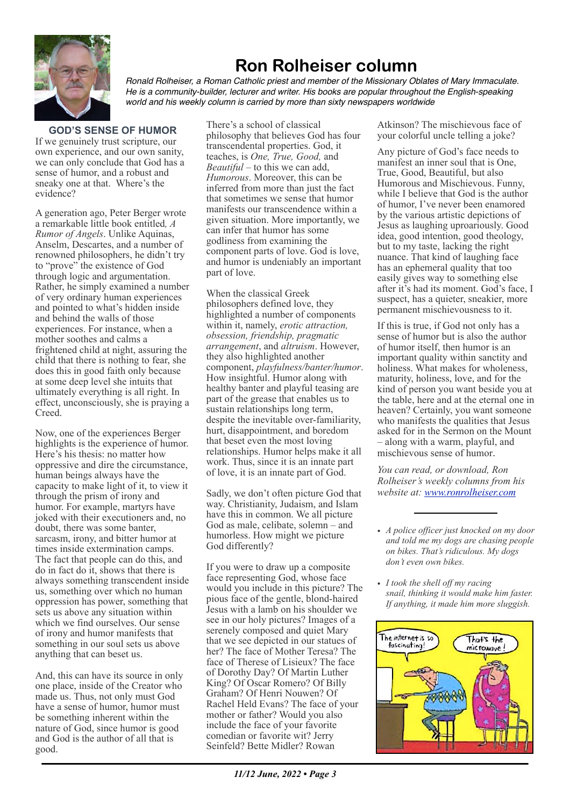

# **Ron Rolheiser column**

*Ronald Rolheiser, a Roman Catholic priest and member of the Missionary Oblates of Mary Immaculate. He is a community-builder, lecturer and writer. His books are popular throughout the English-speaking world and his weekly column is carried by more than sixty newspapers worldwide*

# **GOD'S SENSE OF HUMOR**

If we genuinely trust scripture, our own experience, and our own sanity, we can only conclude that God has a sense of humor, and a robust and sneaky one at that. Where's the evidence?

A generation ago, Peter Berger wrote a remarkable little book entitled*, A Rumor of Angels*. Unlike Aquinas, Anselm, Descartes, and a number of renowned philosophers, he didn't try to "prove" the existence of God through logic and argumentation. Rather, he simply examined a number of very ordinary human experiences and pointed to what's hidden inside and behind the walls of those experiences. For instance, when a mother soothes and calms a frightened child at night, assuring the child that there is nothing to fear, she does this in good faith only because at some deep level she intuits that ultimately everything is all right. In effect, unconsciously, she is praying a Creed.

Now, one of the experiences Berger highlights is the experience of humor. Here's his thesis: no matter how oppressive and dire the circumstance, human beings always have the capacity to make light of it, to view it through the prism of irony and humor. For example, martyrs have joked with their executioners and, no doubt, there was some banter, sarcasm, irony, and bitter humor at times inside extermination camps. The fact that people can do this, and do in fact do it, shows that there is always something transcendent inside us, something over which no human oppression has power, something that sets us above any situation within which we find ourselves. Our sense of irony and humor manifests that something in our soul sets us above anything that can beset us.

And, this can have its source in only one place, inside of the Creator who made us. Thus, not only must God have a sense of humor, humor must be something inherent within the nature of God, since humor is good and God is the author of all that is good.

There's a school of classical philosophy that believes God has four transcendental properties. God, it teaches, is *One, True, Good,* and *Beautiful –* to this we can add, *Humorous*. Moreover, this can be inferred from more than just the fact that sometimes we sense that humor manifests our transcendence within a given situation. More importantly, we can infer that humor has some godliness from examining the component parts of love. God is love, and humor is undeniably an important part of love.

When the classical Greek philosophers defined love, they highlighted a number of components within it, namely, *erotic attraction, obsession, friendship, pragmatic arrangement*, and *altruism*. However, they also highlighted another component, *playfulness/banter/humor*. How insightful. Humor along with healthy banter and playful teasing are part of the grease that enables us to sustain relationships long term, despite the inevitable over-familiarity, hurt, disappointment, and boredom that beset even the most loving relationships. Humor helps make it all work. Thus, since it is an innate part of love, it is an innate part of God.

Sadly, we don't often picture God that way. Christianity, Judaism, and Islam have this in common. We all picture God as male, celibate, solemn – and humorless. How might we picture God differently?

If you were to draw up a composite face representing God, whose face would you include in this picture? The pious face of the gentle, blond-haired Jesus with a lamb on his shoulder we see in our holy pictures? Images of a serenely composed and quiet Mary that we see depicted in our statues of her? The face of Mother Teresa? The face of Therese of Lisieux? The face of Dorothy Day? Of Martin Luther King? Of Oscar Romero? Of Billy Graham? Of Henri Nouwen? Of Rachel Held Evans? The face of your mother or father? Would you also include the face of your favorite comedian or favorite wit? Jerry Seinfeld? Bette Midler? Rowan

Atkinson? The mischievous face of your colorful uncle telling a joke?

Any picture of God's face needs to manifest an inner soul that is One, True, Good, Beautiful, but also Humorous and Mischievous. Funny, while I believe that God is the author of humor, I've never been enamored by the various artistic depictions of Jesus as laughing uproariously. Good idea, good intention, good theology, but to my taste, lacking the right nuance. That kind of laughing face has an ephemeral quality that too easily gives way to something else after it's had its moment. God's face, I suspect, has a quieter, sneakier, more permanent mischievousness to it.

If this is true, if God not only has a sense of humor but is also the author of humor itself, then humor is an important quality within sanctity and holiness. What makes for wholeness, maturity, holiness, love, and for the kind of person you want beside you at the table, here and at the eternal one in heaven? Certainly, you want someone who manifests the qualities that Jesus asked for in the Sermon on the Mount – along with a warm, playful, and mischievous sense of humor.

*You can read, or download, Ron Rolheiser's weekly columns from his website at: [www.ronrolheiser.com](http://www.ronrolheiser.com)*

- *• A police officer just knocked on my door and told me my dogs are chasing people on bikes. That's ridiculous. My dogs don't even own bikes.*
- *• I took the shell off my racing snail, thinking it would make him faster. If anything, it made him more sluggish.*